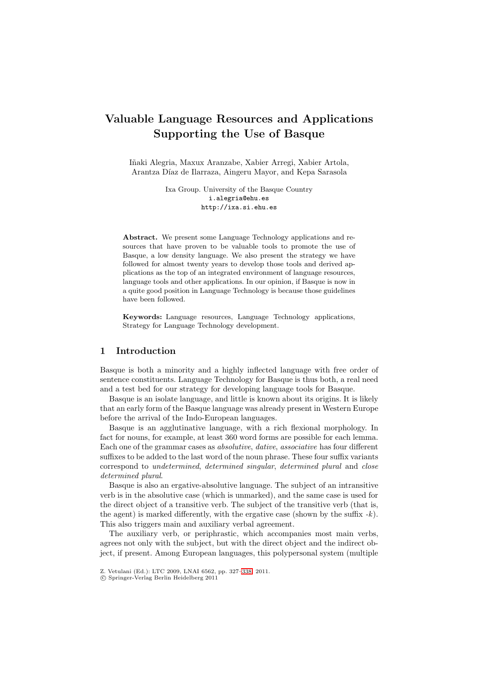# **Valuable Language Resources and Applications Supporting the Use of Basque**

I˜naki Alegria, Maxux Aranzabe, Xabier Arregi, Xabier Artola, Arantza Díaz de Ilarraza, Aingeru Mayor, and Kepa Sarasola

> Ixa Group. University of the Basque Country i.alegria@ehu.es <http://ixa.si.ehu.es>

**Abstract.** We present some Language Technology applications and resources that have proven to be valuable tools to promote the use of Basque, a low density language. We also present the strategy we have followed for almost twenty years to develop those tools and derived applications as the top of an integrated environment of language resources, language tools and other applications. In our opinion, if Basque is now in a quite good position in Language Technology is because those guidelines have been followed.

**Keywords:** Language resources, Language Technology applications, Strategy for Language Technology development.

# **1 Introduction**

Basque is both a minority and a highly inflected language with free order of sentence constituents. Language Technology for Basque is thus both, a real need and a test bed for our strategy for developing language tools for Basque.

Basque is an isolate language, and little is known about its origins. It is likely that an early form of the Basque language was already present in Western Europe before the arrival of the Indo-European languages.

Basque is an agglutinative language, with a rich flexional morphology. In fact for nouns, for example, at least 360 word forms are possible for each lemma. Each one of the grammar cases as *absolutive*, *dative*, *associative* has four different suffixes to be added to the last word of the noun phrase. These four suffix variants correspond to *undetermined*, *determined singular*, *determined plural* and *close determined plural*.

Basque is also an ergative-absolutive language. The subject of an intransitive verb is in the absolutive case (which is unmarked), and the same case is used for the direct object of a transitive verb. The subject of the transitive verb (that is, the agent) is marked differently, with the ergative case (shown by the suffix *-k*). This also triggers main and auxiliary verbal agreement.

The auxiliary verb, or periphrastic, which accompanies most main verbs, agrees not only with the subject, but with the direct object and the indirect object, if present. Among European languages, this polypersonal system (multiple

Z. Vetulani (Ed.): LTC 2009, LNAI 6562, pp. 327[–338,](#page-10-0) 2011.

<sup>-</sup>c Springer-Verlag Berlin Heidelberg 2011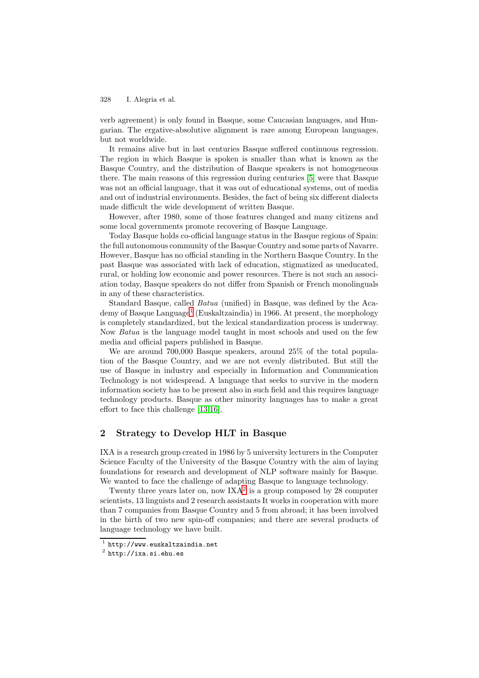verb agreement) is only found in Basque, some Caucasian languages, and Hungarian. The ergative-absolutive alignment is rare among European languages, but not worldwide.

It remains alive but in last centuries Basque suffered continuous regression. The region in which Basque is spoken is smaller than what is known as the Basque Country, and the distribution of Basque speakers is not homogeneous there. The main reasons of this regression during centuries [\[5\]](#page-11-0) were that Basque was not an official language, that it was out of educational systems, out of media and out of industrial environments. Besides, the fact of being six different dialects made difficult the wide development of written Basque.

However, after 1980, some of those features changed and many citizens and some local governments promote recovering of Basque Language.

Today Basque holds co-official language status in the Basque regions of Spain: the full autonomous community of the Basque Country and some parts of Navarre. However, Basque has no official standing in the Northern Basque Country. In the past Basque was associated with lack of education, stigmatized as uneducated, rural, or holding low economic and power resources. There is not such an association today, Basque speakers do not differ from Spanish or French monolinguals in any of these characteristics.

Standard Basque, called *Batua* (unified) in Basque, was defined by the Aca-demy of Basque Language<sup>[1](#page-1-0)</sup> (Euskaltzaindia) in 1966. At present, the morphology is completely standardized, but the lexical standardization process is underway. Now *Batua* is the language model taught in most schools and used on the few media and official papers published in Basque.

We are around 700,000 Basque speakers, around 25% of the total population of the Basque Country, and we are not evenly distributed. But still the use of Basque in industry and especially in Information and Communication Technology is not widespread. A language that seeks to survive in the modern information society has to be present also in such field and this requires language technology products. Basque as other minority languages has to make a great effort to face this challenge [\[13,](#page-11-1)[16\]](#page-11-2).

# **2 Strategy to Develop HLT in Basque**

IXA is a research group created in 1986 by 5 university lecturers in the Computer Science Faculty of the University of the Basque Country with the aim of laying foundations for research and development of NLP software mainly for Basque. We wanted to face the challenge of adapting Basque to language technology.

Twenty three years later on, now  $IXA<sup>2</sup>$  $IXA<sup>2</sup>$  $IXA<sup>2</sup>$  is a group composed by 28 computer scientists, 13 linguists and 2 research assistants It works in cooperation with more than 7 companies from Basque Country and 5 from abroad; it has been involved in the birth of two new spin-off companies; and there are several products of language technology we have built.

<http://www.euskaltzaindia.net>

<span id="page-1-1"></span><span id="page-1-0"></span> $<sup>2</sup>$  <http://ixa.si.ehu.es></sup>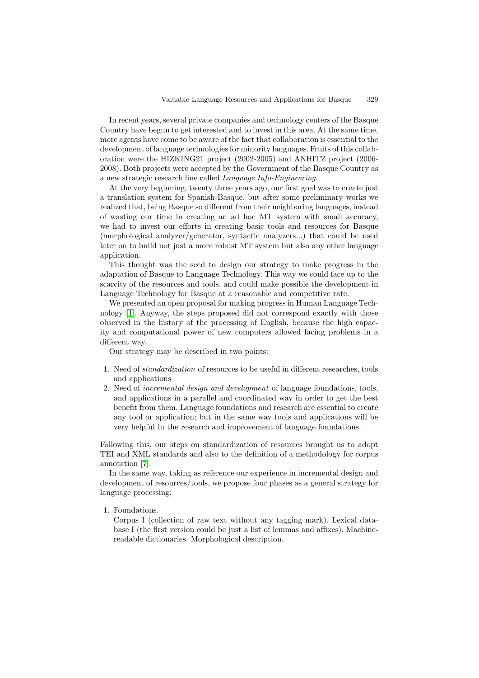In recent years, several private companies and technology centers of the Basque Country have begun to get interested and to invest in this area. At the same time, more agents have come to be aware of the fact that collaboration is essential to the development of language technologies for minority languages. Fruits of this collaboration were the HIZKING21 project (2002-2005) and ANHITZ project (2006- 2008). Both projects were accepted by the Government of the Basque Country as a new strategic research line called *Language Info-Engineering*.

At the very beginning, twenty three years ago, our first goal was to create just a translation system for Spanish-Basque, but after some preliminary works we realized that, being Basque so different from their neighboring languages, instead of wasting our time in creating an ad hoc MT system with small accuracy, we had to invest our efforts in creating basic tools and resources for Basque (morphological analyzer/generator, syntactic analyzers...) that could be used later on to build not just a more robust MT system but also any other language application.

This thought was the seed to design our strategy to make progress in the adaptation of Basque to Language Technology. This way we could face up to the scarcity of the resources and tools, and could make possible the development in Language Technology for Basque at a reasonable and competitive rate.

We presented an open proposal for making progress in Human Language Technology [\[1\]](#page-10-0). Anyway, the steps proposed did not correspond exactly with those observed in the history of the processing of English, because the high capacity and computational power of new computers allowed facing problems in a different way.

Our strategy may be described in two points:

- 1. Need of *standardization* of resources to be useful in different researches, tools and applications
- 2. Need of *incremental design and development* of language foundations, tools, and applications in a parallel and coordinated way in order to get the best benefit from them. Language foundations and research are essential to create any tool or application; but in the same way tools and applications will be very helpful in the research and improvement of language foundations.

Following this, our steps on standardization of resources brought us to adopt TEI and XML standards and also to the definition of a methodology for corpus annotation [\[7\]](#page-11-3).

In the same way, taking as reference our experience in incremental design and development of resources/tools, we propose four phases as a general strategy for language processing:

#### 1. Foundations.

Corpus I (collection of raw text without any tagging mark). Lexical database I (the first version could be just a list of lemmas and affixes). Machinereadable dictionaries. Morphological description.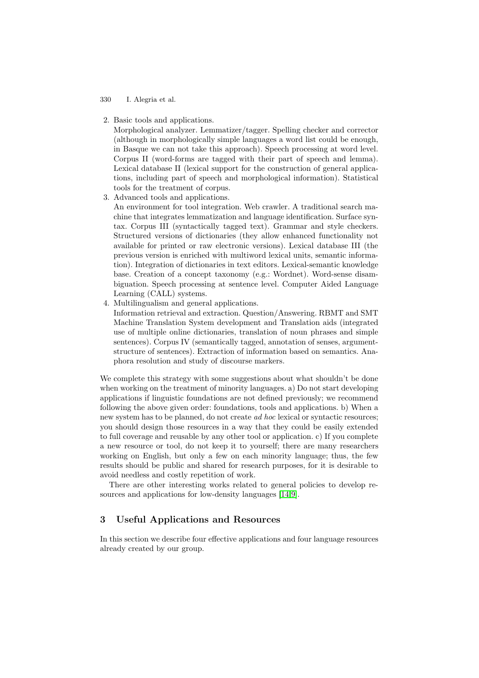2. Basic tools and applications.

Morphological analyzer. Lemmatizer/tagger. Spelling checker and corrector (although in morphologically simple languages a word list could be enough, in Basque we can not take this approach). Speech processing at word level. Corpus II (word-forms are tagged with their part of speech and lemma). Lexical database II (lexical support for the construction of general applications, including part of speech and morphological information). Statistical tools for the treatment of corpus.

3. Advanced tools and applications.

An environment for tool integration. Web crawler. A traditional search machine that integrates lemmatization and language identification. Surface syntax. Corpus III (syntactically tagged text). Grammar and style checkers. Structured versions of dictionaries (they allow enhanced functionality not available for printed or raw electronic versions). Lexical database III (the previous version is enriched with multiword lexical units, semantic information). Integration of dictionaries in text editors. Lexical-semantic knowledge base. Creation of a concept taxonomy (e.g.: Wordnet). Word-sense disambiguation. Speech processing at sentence level. Computer Aided Language Learning (CALL) systems.

4. Multilingualism and general applications.

Information retrieval and extraction. Question/Answering. RBMT and SMT Machine Translation System development and Translation aids (integrated use of multiple online dictionaries, translation of noun phrases and simple sentences). Corpus IV (semantically tagged, annotation of senses, argumentstructure of sentences). Extraction of information based on semantics. Anaphora resolution and study of discourse markers.

We complete this strategy with some suggestions about what shouldn't be done when working on the treatment of minority languages. a) Do not start developing applications if linguistic foundations are not defined previously; we recommend following the above given order: foundations, tools and applications. b) When a new system has to be planned, do not create *ad hoc* lexical or syntactic resources; you should design those resources in a way that they could be easily extended to full coverage and reusable by any other tool or application. c) If you complete a new resource or tool, do not keep it to yourself; there are many researchers working on English, but only a few on each minority language; thus, the few results should be public and shared for research purposes, for it is desirable to avoid needless and costly repetition of work.

There are other interesting works related to general policies to develop resources and applications for low-density languages [\[14](#page-11-4)[,9\]](#page-11-5).

# **3 Useful Applications and Resources**

In this section we describe four effective applications and four language resources already created by our group.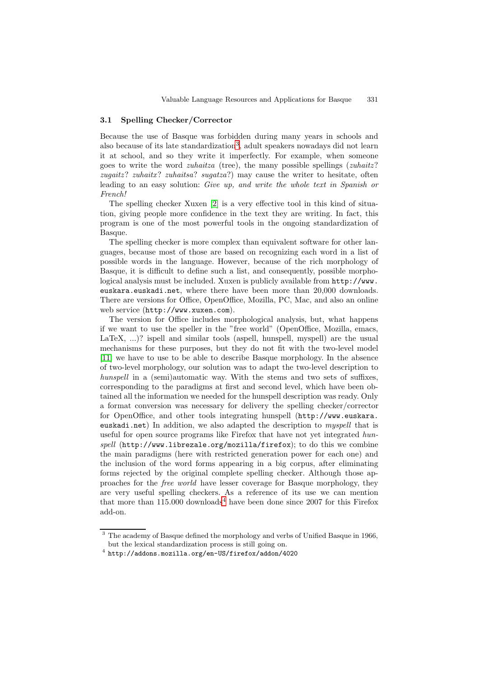## **3.1 Spelling Checker/Corrector**

Because the use of Basque was forbidden during many years in schools and also because of its late standardization<sup>[3](#page-4-0)</sup>, adult speakers nowadays did not learn it at school, and so they write it imperfectly. For example, when someone goes to write the word *zuhaitza* (tree), the many possible spellings (*zuhaitz* ? *zugaitz? zuhaitx? zuhaitsa? sugatza?*) may cause the writer to hesitate, often leading to an easy solution: *Give up, and write the whole text in Spanish or French!*

The spelling checker Xuxen [\[2\]](#page-10-1) is a very effective tool in this kind of situation, giving people more confidence in the text they are writing. In fact, this program is one of the most powerful tools in the ongoing standardization of Basque.

The spelling checker is more complex than equivalent software for other languages, because most of those are based on recognizing each word in a list of possible words in the language. However, because of the rich morphology of Basque, it is difficult to define such a list, and consequently, possible morphological analysis must be included. Xuxen is publicly available from [http://www.](http://www.euskara.euskadi.net) [euskara.euskadi.net](http://www.euskara.euskadi.net), where there have been more than 20,000 downloads. There are versions for Office, OpenOffice, Mozilla, PC, Mac, and also an online web service (<http://www.xuxen.com>).

The version for Office includes morphological analysis, but, what happens if we want to use the speller in the "free world" (OpenOffice, Mozilla, emacs, LaTeX, ...)? ispell and similar tools (aspell, hunspell, myspell) are the usual mechanisms for these purposes, but they do not fit with the two-level model [\[11\]](#page-11-6) we have to use to be able to describe Basque morphology. In the absence of two-level morphology, our solution was to adapt the two-level description to *hunspell* in a (semi)automatic way. With the stems and two sets of suffixes, corresponding to the paradigms at first and second level, which have been obtained all the information we needed for the hunspell description was ready. Only a format conversion was necessary for delivery the spelling checker/corrector for OpenOffice, and other tools integrating hunspell ([http://www.euskara.](http://www.euskara.euskadi.net) [euskadi.net](http://www.euskara.euskadi.net)) In addition, we also adapted the description to *myspell* that is useful for open source programs like Firefox that have not yet integrated *hunspell* (<http://www.librezale.org/mozilla/firefox>); to do this we combine the main paradigms (here with restricted generation power for each one) and the inclusion of the word forms appearing in a big corpus, after eliminating forms rejected by the original complete spelling checker. Although those approaches for the *free world* have lesser coverage for Basque morphology, they are very useful spelling checkers. As a reference of its use we can mention that more than  $115.000$  downloads<sup>[4](#page-4-1)</sup> have been done since 2007 for this Firefox add-on.

<sup>&</sup>lt;sup>3</sup> The academy of Basque defined the morphology and verbs of Unified Basque in 1966, but the lexical standardization process is still going on.

<span id="page-4-1"></span><span id="page-4-0"></span> $^4$ <http://addons.mozilla.org/en-US/firefox/addon/4020>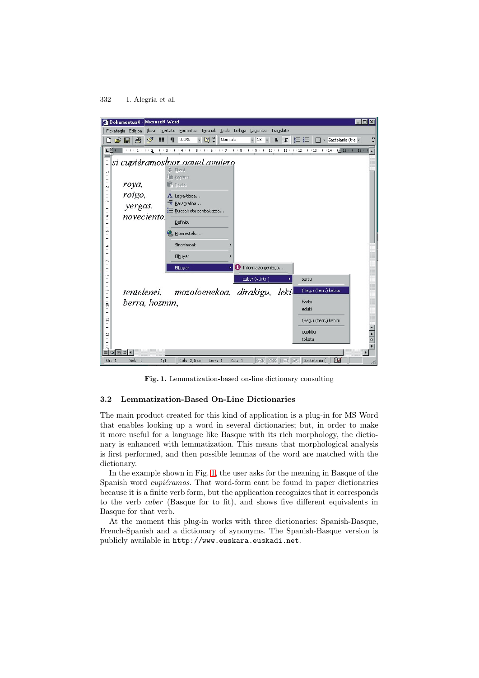

<span id="page-5-0"></span>**Fig. 1.** Lemmatization-based on-line dictionary consulting

#### **3.2 Lemmatization-Based On-Line Dictionaries**

The main product created for this kind of application is a plug-in for MS Word that enables looking up a word in several dictionaries; but, in order to make it more useful for a language like Basque with its rich morphology, the dictionary is enhanced with lemmatization. This means that morphological analysis is first performed, and then possible lemmas of the word are matched with the dictionary.

In the example shown in Fig. [1,](#page-5-0) the user asks for the meaning in Basque of the Spanish word *cupiéramos*. That word-form cant be found in paper dictionaries because it is a finite verb form, but the application recognizes that it corresponds to the verb *caber* (Basque for to fit), and shows five different equivalents in Basque for that verb.

At the moment this plug-in works with three dictionaries: Spanish-Basque, French-Spanish and a dictionary of synonyms. The Spanish-Basque version is publicly available in <http://www.euskara.euskadi.net>.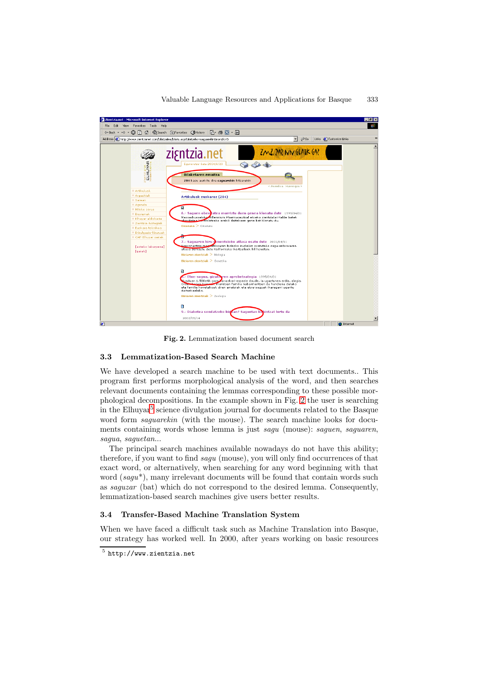

<span id="page-6-0"></span>**Fig. 2.** Lemmatization based document search

#### **3.3 Lemmatization-Based Search Machine**

We have developed a search machine to be used with text documents.. This program first performs morphological analysis of the word, and then searches relevant documents containing the lemmas corresponding to these possible morphological decompositions. In the example shown in Fig. [2](#page-6-0) the user is searching in the Elhuyar<sup>[5](#page-6-1)</sup> science divulgation journal for documents related to the Basque word form *saguarekin* (with the mouse). The search machine looks for documents containing words whose lemma is just *sagu* (mouse): *saguen*, *saguaren*, *sagua*, *saguetan*...

The principal search machines available nowadays do not have this ability; therefore, if you want to find *sagu* (mouse), you will only find occurrences of that exact word, or alternatively, when searching for any word beginning with that word (*sagu*\*), many irrelevant documents will be found that contain words such as *saguzar* (bat) which do not correspond to the desired lemma. Consequently, lemmatization-based search machines give users better results.

# **3.4 Transfer-Based Machine Translation System**

When we have faced a difficult task such as Machine Translation into Basque, our strategy has worked well. In 2000, after years working on basic resources

<span id="page-6-1"></span> $^5$ <http://www.zientzia.net>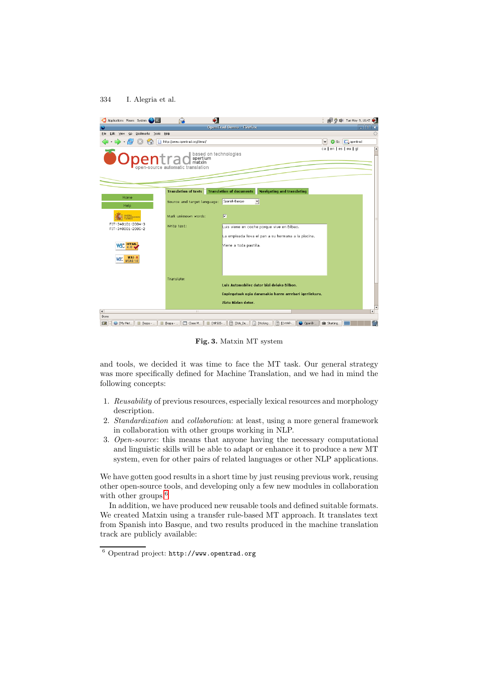

**Fig. 3.** Matxin MT system

and tools, we decided it was time to face the MT task. Our general strategy was more specifically defined for Machine Translation, and we had in mind the following concepts:

- 1. *Reusability* of previous resources, especially lexical resources and morphology description.
- 2. *Standardization* and *collaboratio*n: at least, using a more general framework in collaboration with other groups working in NLP.
- 3. *Open-source*: this means that anyone having the necessary computational and linguistic skills will be able to adapt or enhance it to produce a new MT system, even for other pairs of related languages or other NLP applications.

We have gotten good results in a short time by just reusing previous work, reusing other open-source tools, and developing only a few new modules in collaboration with other groups.<sup>[6](#page-7-0)</sup>

In addition, we have produced new reusable tools and defined suitable formats. We created Matxin using a transfer rule-based MT approach. It translates text from Spanish into Basque, and two results produced in the machine translation track are publicly available:

<span id="page-7-0"></span><sup>6</sup> Opentrad project: <http://www.opentrad.org>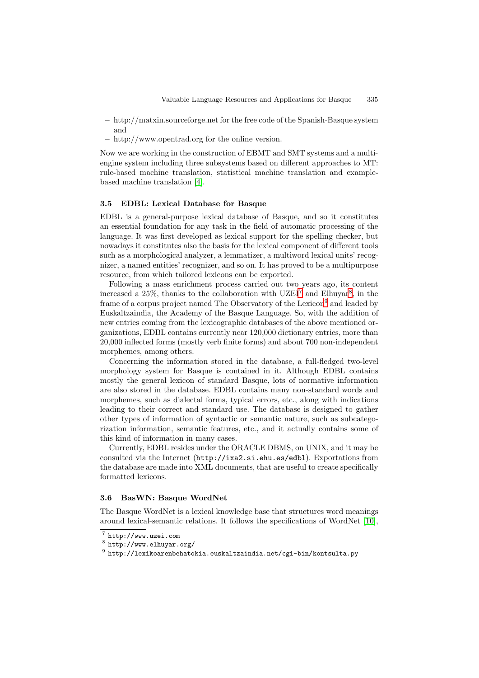- **–** http://matxin.sourceforge.net for the free code of the Spanish-Basque system and
- **–** http://www.opentrad.org for the online version.

Now we are working in the construction of EBMT and SMT systems and a multiengine system including three subsystems based on different approaches to MT: rule-based machine translation, statistical machine translation and examplebased machine translation [\[4\]](#page-11-7).

#### **3.5 EDBL: Lexical Database for Basque**

EDBL is a general-purpose lexical database of Basque, and so it constitutes an essential foundation for any task in the field of automatic processing of the language. It was first developed as lexical support for the spelling checker, but nowadays it constitutes also the basis for the lexical component of different tools such as a morphological analyzer, a lemmatizer, a multiword lexical units' recognizer, a named entities' recognizer, and so on. It has proved to be a multipurpose resource, from which tailored lexicons can be exported.

Following a mass enrichment process carried out two years ago, its content increased a  $25\%$ , thanks to the collaboration with UZEI<sup>[7](#page-8-0)</sup> and Elhuyar<sup>[8](#page-8-1)</sup>, in the frame of a corpus project named The Observatory of the Lexicon<sup>[9](#page-8-2)</sup> and leaded by Euskaltzaindia, the Academy of the Basque Language. So, with the addition of new entries coming from the lexicographic databases of the above mentioned organizations, EDBL contains currently near 120,000 dictionary entries, more than 20,000 inflected forms (mostly verb finite forms) and about 700 non-independent morphemes, among others.

Concerning the information stored in the database, a full-fledged two-level morphology system for Basque is contained in it. Although EDBL contains mostly the general lexicon of standard Basque, lots of normative information are also stored in the database. EDBL contains many non-standard words and morphemes, such as dialectal forms, typical errors, etc., along with indications leading to their correct and standard use. The database is designed to gather other types of information of syntactic or semantic nature, such as subcategorization information, semantic features, etc., and it actually contains some of this kind of information in many cases.

Currently, EDBL resides under the ORACLE DBMS, on UNIX, and it may be consulted via the Internet (<http://ixa2.si.ehu.es/edbl>). Exportations from the database are made into XML documents, that are useful to create specifically formatted lexicons.

# **3.6 BasWN: Basque WordNet**

The Basque WordNet is a lexical knowledge base that structures word meanings around lexical-semantic relations. It follows the specifications of WordNet [\[10\]](#page-11-8),

<http://www.uzei.com>

<span id="page-8-0"></span><sup>8</sup> <http://www.elhuyar.org/>

<span id="page-8-2"></span><span id="page-8-1"></span> $^9$ <http://lexikoarenbehatokia.euskaltzaindia.net/cgi-bin/kontsulta.py>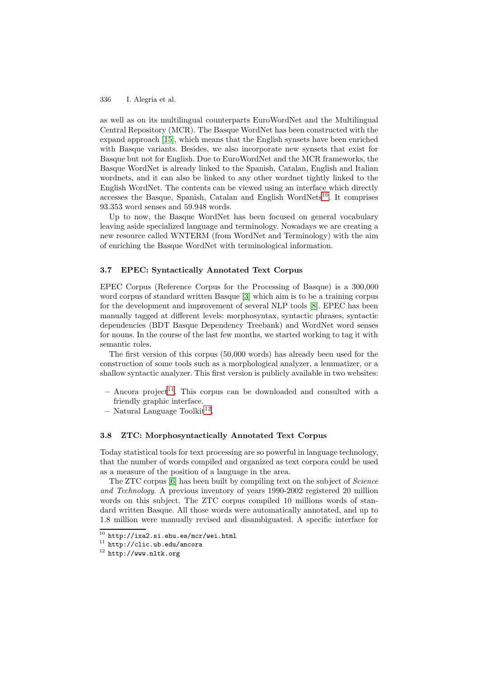as well as on its multilingual counterparts EuroWordNet and the Multilingual Central Repository (MCR). The Basque WordNet has been constructed with the expand approach [\[15\]](#page-11-9), which means that the English synsets have been enriched with Basque variants. Besides, we also incorporate new synsets that exist for Basque but not for English. Due to EuroWordNet and the MCR frameworks, the Basque WordNet is already linked to the Spanish, Catalan, English and Italian wordnets, and it can also be linked to any other wordnet tightly linked to the English WordNet. The contents can be viewed using an interface which directly accesses the Basque, Spanish, Catalan and English WordNets<sup>[10](#page-9-0)</sup>. It comprises 93.353 word senses and 59.948 words.

Up to now, the Basque WordNet has been focused on general vocabulary leaving aside specialized language and terminology. Nowadays we are creating a new resource called WNTERM (from WordNet and Terminology) with the aim of enriching the Basque WordNet with terminological information.

#### **3.7 EPEC: Syntactically Annotated Text Corpus**

EPEC Corpus (Reference Corpus for the Processing of Basque) is a 300,000 word corpus of standard written Basque [\[3\]](#page-10-2) which aim is to be a training corpus for the development and improvement of several NLP tools [\[8\]](#page-11-10). EPEC has been manually tagged at different levels: morphosyntax, syntactic phrases, syntactic dependencies (BDT Basque Dependency Treebank) and WordNet word senses for nouns. In the course of the last few months, we started working to tag it with semantic roles.

The first version of this corpus (50,000 words) has already been used for the construction of some tools such as a morphological analyzer, a lemmatizer, or a shallow syntactic analyzer. This first version is publicly available in two websites:

- $-$  Ancora project<sup>[11](#page-9-1)</sup>. This corpus can be downloaded and consulted with a friendly graphic interface.
- **–** Natural Language Toolkit[12](#page-9-2).

## **3.8 ZTC: Morphosyntactically Annotated Text Corpus**

Today statistical tools for text processing are so powerful in language technology, that the number of words compiled and organized as text corpora could be used as a measure of the position of a language in the area.

The ZTC corpus [\[6\]](#page-11-11) has been built by compiling text on the subject of *Science and Technology*. A previous inventory of years 1990-2002 registered 20 million words on this subject. The ZTC corpus compiled 10 millions words of standard written Basque. All those words were automatically annotated, and up to 1.8 million were manually revised and disambiguated. A specific interface for

 $\overline{10 \text{ http://ixa2.si.ehu.es/mcr/wei.html}}$  $\overline{10 \text{ http://ixa2.si.ehu.es/mcr/wei.html}}$  $\overline{10 \text{ http://ixa2.si.ehu.es/mcr/wei.html}}$ 

<span id="page-9-0"></span><sup>11</sup> <http://clic.ub.edu/ancora>

<span id="page-9-2"></span><span id="page-9-1"></span> $12$  <http://www.nltk.org>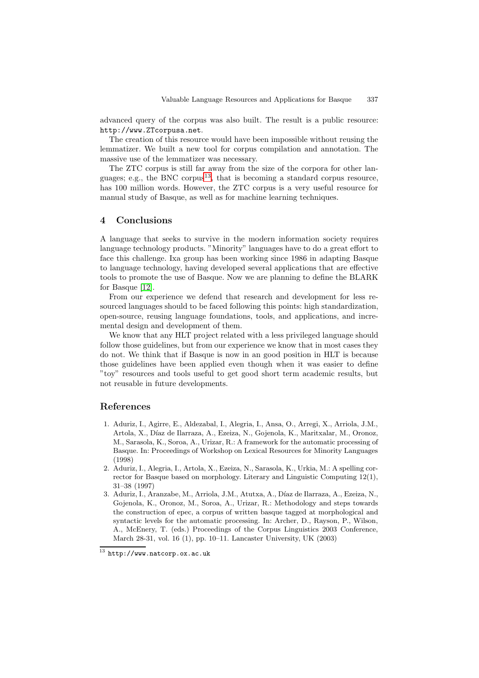advanced query of the corpus was also built. The result is a public resource: <http://www.ZTcorpusa.net>.

The creation of this resource would have been impossible without reusing the lemmatizer. We built a new tool for corpus compilation and annotation. The massive use of the lemmatizer was necessary.

The ZTC corpus is still far away from the size of the corpora for other lan-guages; e.g., the BNC corpus<sup>[13](#page-10-3)</sup>, that is becoming a standard corpus resource, has 100 million words. However, the ZTC corpus is a very useful resource for manual study of Basque, as well as for machine learning techniques.

# **4 Conclusions**

A language that seeks to survive in the modern information society requires language technology products. "Minority" languages have to do a great effort to face this challenge. Ixa group has been working since 1986 in adapting Basque to language technology, having developed several applications that are effective tools to promote the use of Basque. Now we are planning to define the BLARK for Basque [\[12\]](#page-11-12).

From our experience we defend that research and development for less resourced languages should to be faced following this points: high standardization, open-source, reusing language foundations, tools, and applications, and incremental design and development of them.

We know that any HLT project related with a less privileged language should follow those guidelines, but from our experience we know that in most cases they do not. We think that if Basque is now in an good position in HLT is because those guidelines have been applied even though when it was easier to define "toy" resources and tools useful to get good short term academic results, but not reusable in future developments.

# **References**

- <span id="page-10-0"></span>1. Aduriz, I., Agirre, E., Aldezabal, I., Alegria, I., Ansa, O., Arregi, X., Arriola, J.M., Artola, X., D´ıaz de Ilarraza, A., Ezeiza, N., Gojenola, K., Maritxalar, M., Oronoz, M., Sarasola, K., Soroa, A., Urizar, R.: A framework for the automatic processing of Basque. In: Proceedings of Workshop on Lexical Resources for Minority Languages (1998)
- <span id="page-10-1"></span>2. Aduriz, I., Alegria, I., Artola, X., Ezeiza, N., Sarasola, K., Urkia, M.: A spelling corrector for Basque based on morphology. Literary and Linguistic Computing 12(1), 31–38 (1997)
- <span id="page-10-2"></span>3. Aduriz, I., Aranzabe, M., Arriola, J.M., Atutxa, A., Díaz de Ilarraza, A., Ezeiza, N., Gojenola, K., Oronoz, M., Soroa, A., Urizar, R.: Methodology and steps towards the construction of epec, a corpus of written basque tagged at morphological and syntactic levels for the automatic processing. In: Archer, D., Rayson, P., Wilson, A., McEnery, T. (eds.) Proceedings of the Corpus Linguistics 2003 Conference, March 28-31, vol. 16 (1), pp. 10–11. Lancaster University, UK (2003)

<span id="page-10-3"></span><sup>13</sup> <http://www.natcorp.ox.ac.uk>